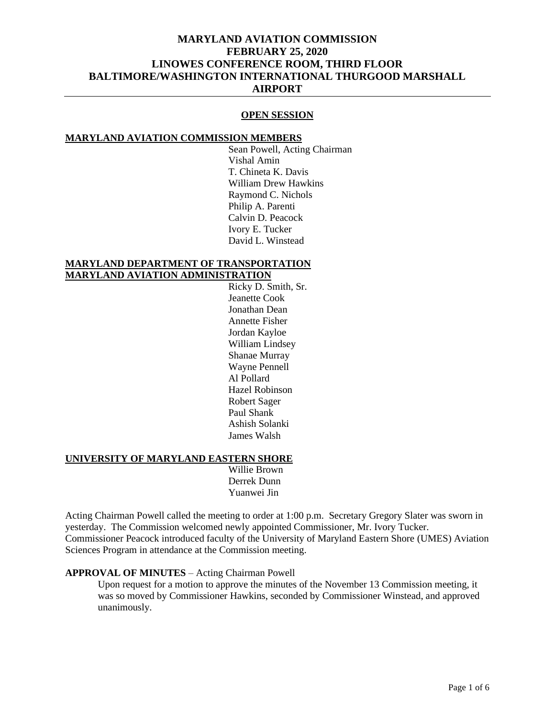### **OPEN SESSION**

#### **MARYLAND AVIATION COMMISSION MEMBERS**

Sean Powell, Acting Chairman Vishal Amin T. Chineta K. Davis William Drew Hawkins Raymond C. Nichols Philip A. Parenti Calvin D. Peacock Ivory E. Tucker David L. Winstead

### **MARYLAND DEPARTMENT OF TRANSPORTATION MARYLAND AVIATION ADMINISTRATION**

Ricky D. Smith, Sr. Jeanette Cook Jonathan Dean Annette Fisher Jordan Kayloe William Lindsey Shanae Murray Wayne Pennell Al Pollard Hazel Robinson Robert Sager Paul Shank Ashish Solanki James Walsh

#### **UNIVERSITY OF MARYLAND EASTERN SHORE**

Willie Brown Derrek Dunn Yuanwei Jin

Acting Chairman Powell called the meeting to order at 1:00 p.m. Secretary Gregory Slater was sworn in yesterday. The Commission welcomed newly appointed Commissioner, Mr. Ivory Tucker. Commissioner Peacock introduced faculty of the University of Maryland Eastern Shore (UMES) Aviation Sciences Program in attendance at the Commission meeting.

### **APPROVAL OF MINUTES** – Acting Chairman Powell

Upon request for a motion to approve the minutes of the November 13 Commission meeting, it was so moved by Commissioner Hawkins, seconded by Commissioner Winstead, and approved unanimously.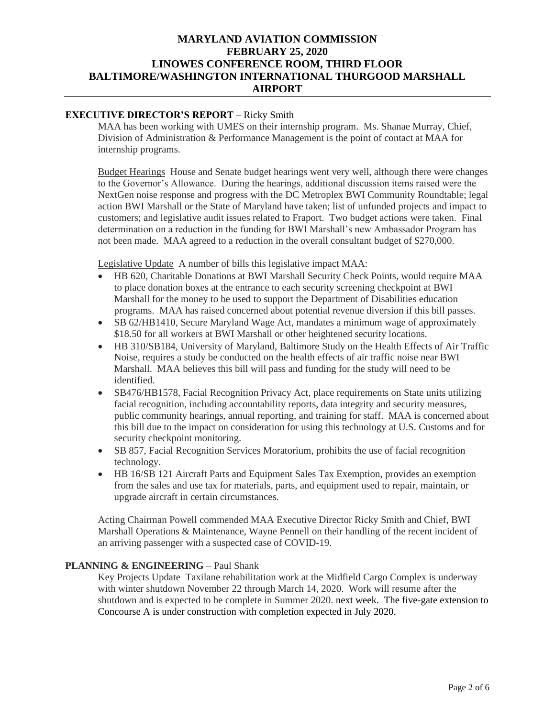## **EXECUTIVE DIRECTOR'S REPORT** – Ricky Smith

MAA has been working with UMES on their internship program. Ms. Shanae Murray, Chief, Division of Administration & Performance Management is the point of contact at MAA for internship programs.

Budget Hearings House and Senate budget hearings went very well, although there were changes to the Governor's Allowance. During the hearings, additional discussion items raised were the NextGen noise response and progress with the DC Metroplex BWI Community Roundtable; legal action BWI Marshall or the State of Maryland have taken; list of unfunded projects and impact to customers; and legislative audit issues related to Fraport. Two budget actions were taken. Final determination on a reduction in the funding for BWI Marshall's new Ambassador Program has not been made. MAA agreed to a reduction in the overall consultant budget of \$270,000.

Legislative Update A number of bills this legislative impact MAA:

- HB 620, Charitable Donations at BWI Marshall Security Check Points, would require MAA to place donation boxes at the entrance to each security screening checkpoint at BWI Marshall for the money to be used to support the Department of Disabilities education programs. MAA has raised concerned about potential revenue diversion if this bill passes.
- SB 62/HB1410, Secure Maryland Wage Act, mandates a minimum wage of approximately \$18.50 for all workers at BWI Marshall or other heightened security locations.
- HB 310/SB184, University of Maryland, Baltimore Study on the Health Effects of Air Traffic Noise, requires a study be conducted on the health effects of air traffic noise near BWI Marshall. MAA believes this bill will pass and funding for the study will need to be identified.
- SB476/HB1578, Facial Recognition Privacy Act, place requirements on State units utilizing facial recognition, including accountability reports, data integrity and security measures, public community hearings, annual reporting, and training for staff. MAA is concerned about this bill due to the impact on consideration for using this technology at U.S. Customs and for security checkpoint monitoring.
- SB 857, Facial Recognition Services Moratorium, prohibits the use of facial recognition technology.
- HB 16/SB 121 Aircraft Parts and Equipment Sales Tax Exemption, provides an exemption from the sales and use tax for materials, parts, and equipment used to repair, maintain, or upgrade aircraft in certain circumstances.

Acting Chairman Powell commended MAA Executive Director Ricky Smith and Chief, BWI Marshall Operations & Maintenance, Wayne Pennell on their handling of the recent incident of an arriving passenger with a suspected case of COVID-19.

### **PLANNING & ENGINEERING - Paul Shank**

Key Projects Update Taxilane rehabilitation work at the Midfield Cargo Complex is underway with winter shutdown November 22 through March 14, 2020. Work will resume after the shutdown and is expected to be complete in Summer 2020. next week. The five-gate extension to Concourse A is under construction with completion expected in July 2020.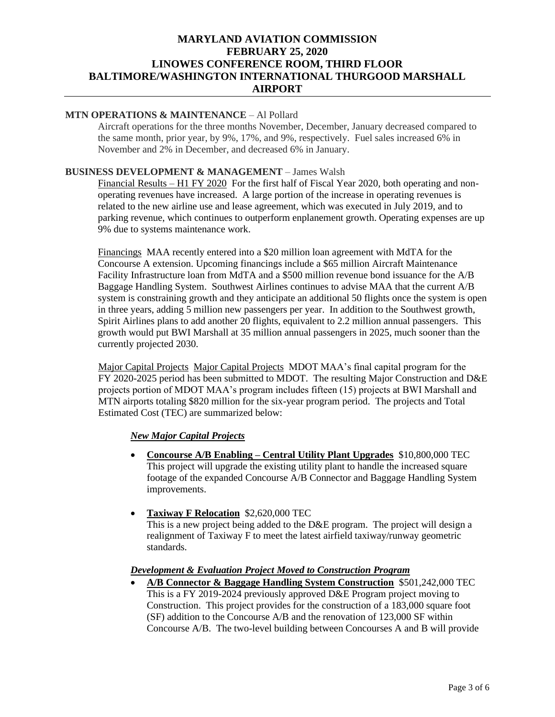## **MTN OPERATIONS & MAINTENANCE** – Al Pollard

Aircraft operations for the three months November, December, January decreased compared to the same month, prior year, by 9%, 17%, and 9%, respectively. Fuel sales increased 6% in November and 2% in December, and decreased 6% in January.

### **BUSINESS DEVELOPMENT & MANAGEMENT** – James Walsh

Financial Results – H1 FY 2020 For the first half of Fiscal Year 2020, both operating and nonoperating revenues have increased. A large portion of the increase in operating revenues is related to the new airline use and lease agreement, which was executed in July 2019, and to parking revenue, which continues to outperform enplanement growth. Operating expenses are up 9% due to systems maintenance work.

Financings MAA recently entered into a \$20 million loan agreement with MdTA for the Concourse A extension. Upcoming financings include a \$65 million Aircraft Maintenance Facility Infrastructure loan from MdTA and a \$500 million revenue bond issuance for the A/B Baggage Handling System. Southwest Airlines continues to advise MAA that the current A/B system is constraining growth and they anticipate an additional 50 flights once the system is open in three years, adding 5 million new passengers per year. In addition to the Southwest growth, Spirit Airlines plans to add another 20 flights, equivalent to 2.2 million annual passengers. This growth would put BWI Marshall at 35 million annual passengers in 2025, much sooner than the currently projected 2030.

Major Capital Projects Major Capital Projects MDOT MAA's final capital program for the FY 2020-2025 period has been submitted to MDOT. The resulting Major Construction and D&E projects portion of MDOT MAA's program includes fifteen (15) projects at BWI Marshall and MTN airports totaling \$820 million for the six-year program period. The projects and Total Estimated Cost (TEC) are summarized below:

### *New Major Capital Projects*

- **Concourse A/B Enabling – Central Utility Plant Upgrades** \$10,800,000 TEC This project will upgrade the existing utility plant to handle the increased square footage of the expanded Concourse A/B Connector and Baggage Handling System improvements.
- **Taxiway F Relocation** \$2,620,000 TEC This is a new project being added to the D&E program. The project will design a realignment of Taxiway F to meet the latest airfield taxiway/runway geometric standards.

### *Development & Evaluation Project Moved to Construction Program*

• **A/B Connector & Baggage Handling System Construction** \$501,242,000 TEC This is a FY 2019-2024 previously approved D&E Program project moving to Construction. This project provides for the construction of a 183,000 square foot (SF) addition to the Concourse A/B and the renovation of 123,000 SF within Concourse A/B. The two-level building between Concourses A and B will provide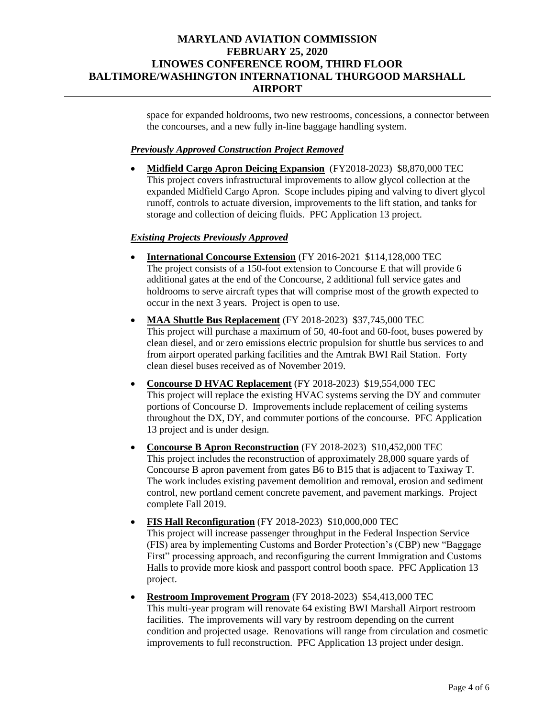space for expanded holdrooms, two new restrooms, concessions, a connector between the concourses, and a new fully in-line baggage handling system.

### *Previously Approved Construction Project Removed*

• **Midfield Cargo Apron Deicing Expansion** (FY2018-2023) \$8,870,000 TEC This project covers infrastructural improvements to allow glycol collection at the expanded Midfield Cargo Apron. Scope includes piping and valving to divert glycol runoff, controls to actuate diversion, improvements to the lift station, and tanks for storage and collection of deicing fluids. PFC Application 13 project.

### *Existing Projects Previously Approved*

- **International Concourse Extension** (FY 2016-2021 \$114,128,000 TEC The project consists of a 150-foot extension to Concourse E that will provide 6 additional gates at the end of the Concourse, 2 additional full service gates and holdrooms to serve aircraft types that will comprise most of the growth expected to occur in the next 3 years. Project is open to use.
- **MAA Shuttle Bus Replacement** (FY 2018-2023) \$37,745,000 TEC This project will purchase a maximum of 50, 40-foot and 60-foot, buses powered by clean diesel, and or zero emissions electric propulsion for shuttle bus services to and from airport operated parking facilities and the Amtrak BWI Rail Station. Forty clean diesel buses received as of November 2019.
- **Concourse D HVAC Replacement** (FY 2018-2023) \$19,554,000 TEC This project will replace the existing HVAC systems serving the DY and commuter portions of Concourse D. Improvements include replacement of ceiling systems throughout the DX, DY, and commuter portions of the concourse. PFC Application 13 project and is under design.
- **Concourse B Apron Reconstruction** (FY 2018-2023) \$10,452,000 TEC This project includes the reconstruction of approximately 28,000 square yards of Concourse B apron pavement from gates B6 to B15 that is adjacent to Taxiway T. The work includes existing pavement demolition and removal, erosion and sediment control, new portland cement concrete pavement, and pavement markings. Project complete Fall 2019.
- **FIS Hall Reconfiguration** (FY 2018-2023) \$10,000,000 TEC This project will increase passenger throughput in the Federal Inspection Service (FIS) area by implementing Customs and Border Protection's (CBP) new "Baggage First" processing approach, and reconfiguring the current Immigration and Customs Halls to provide more kiosk and passport control booth space. PFC Application 13 project.
- **Restroom Improvement Program** (FY 2018-2023) \$54,413,000 TEC This multi-year program will renovate 64 existing BWI Marshall Airport restroom facilities. The improvements will vary by restroom depending on the current condition and projected usage. Renovations will range from circulation and cosmetic improvements to full reconstruction. PFC Application 13 project under design.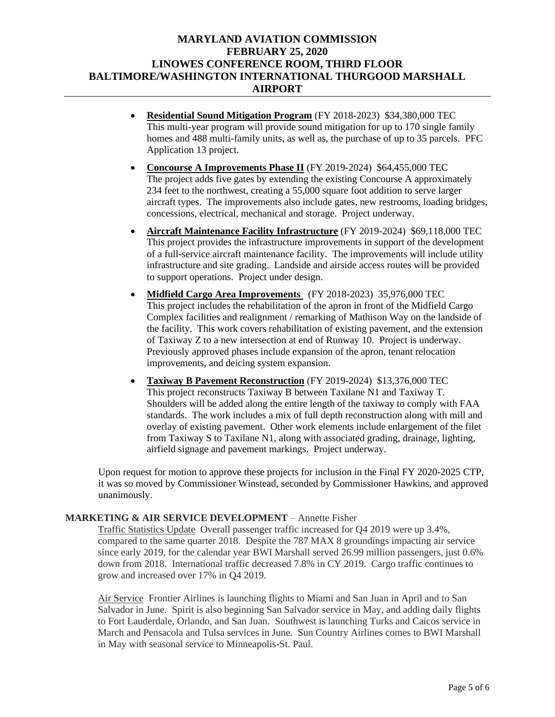- **Residential Sound Mitigation Program** (FY 2018-2023) \$34,380,000 TEC This multi-year program will provide sound mitigation for up to 170 single family homes and 488 multi-family units, as well as, the purchase of up to 35 parcels. PFC Application 13 project.
- **Concourse A Improvements Phase II** (FY 2019-2024) \$64,455,000 TEC The project adds five gates by extending the existing Concourse A approximately 234 feet to the northwest, creating a 55,000 square foot addition to serve larger aircraft types. The improvements also include gates, new restrooms, loading bridges, concessions, electrical, mechanical and storage. Project underway.
- **Aircraft Maintenance Facility Infrastructure** (FY 2019-2024) \$69,118,000 TEC This project provides the infrastructure improvements in support of the development of a full-service aircraft maintenance facility. The improvements will include utility infrastructure and site grading. Landside and airside access routes will be provided to support operations. Project under design.
- **Midfield Cargo Area Improvements** (FY 2018-2023) 35,976,000 TEC This project includes the rehabilitation of the apron in front of the Midfield Cargo Complex facilities and realignment / remarking of Mathison Way on the landside of the facility. This work covers rehabilitation of existing pavement, and the extension of Taxiway Z to a new intersection at end of Runway 10. Project is underway. Previously approved phases include expansion of the apron, tenant relocation improvements, and deicing system expansion.
- **Taxiway B Pavement Reconstruction** (FY 2019-2024) \$13,376,000 TEC This project reconstructs Taxiway B between Taxilane N1 and Taxiway T. Shoulders will be added along the entire length of the taxiway to comply with FAA standards. The work includes a mix of full depth reconstruction along with mill and overlay of existing pavement. Other work elements include enlargement of the filet from Taxiway S to Taxilane N1, along with associated grading, drainage, lighting, airfield signage and pavement markings. Project underway.

Upon request for motion to approve these projects for inclusion in the Final FY 2020-2025 CTP, it was so moved by Commissioner Winstead, seconded by Commissioner Hawkins, and approved unanimously.

### **MARKETING & AIR SERVICE DEVELOPMENT** – Annette Fisher

Traffic Statistics Update Overall passenger traffic increased for Q4 2019 were up 3.4%, compared to the same quarter 2018. Despite the 787 MAX 8 groundings impacting air service since early 2019, for the calendar year BWI Marshall served 26.99 million passengers, just 0.6% down from 2018. International traffic decreased 7.8% in CY 2019. Cargo traffic continues to grow and increased over 17% in Q4 2019.

Air Service Frontier Airlines is launching flights to Miami and San Juan in April and to San Salvador in June. Spirit is also beginning San Salvador service in May, and adding daily flights to Fort Lauderdale, Orlando, and San Juan. Southwest is launching Turks and Caicos service in March and Pensacola and Tulsa services in June. Sun Country Airlines comes to BWI Marshall in May with seasonal service to Minneapolis-St. Paul.